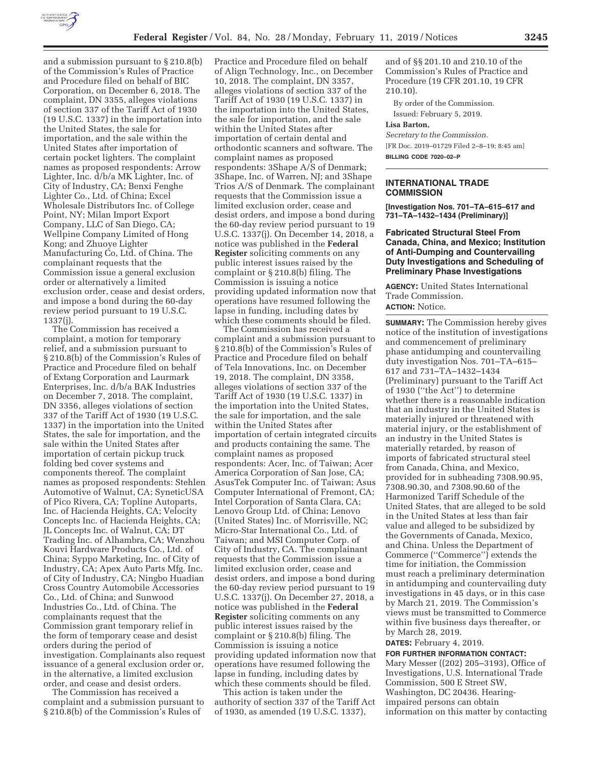

and a submission pursuant to § 210.8(b) of the Commission's Rules of Practice and Procedure filed on behalf of BIC Corporation, on December 6, 2018. The complaint, DN 3355, alleges violations of section 337 of the Tariff Act of 1930 (19 U.S.C. 1337) in the importation into the United States, the sale for importation, and the sale within the United States after importation of certain pocket lighters. The complaint names as proposed respondents: Arrow Lighter, Inc. d/b/a MK Lighter, Inc. of City of Industry, CA; Benxi Fenghe Lighter Co., Ltd. of China; Excel Wholesale Distributors Inc. of College Point, NY; Milan Import Export Company, LLC of San Diego, CA; Wellpine Company Limited of Hong Kong; and Zhuoye Lighter Manufacturing Co, Ltd. of China. The complainant requests that the Commission issue a general exclusion order or alternatively a limited exclusion order, cease and desist orders, and impose a bond during the 60-day review period pursuant to 19 U.S.C. 1337(j).

The Commission has received a complaint, a motion for temporary relief, and a submission pursuant to § 210.8(b) of the Commission's Rules of Practice and Procedure filed on behalf of Extang Corporation and Laurmark Enterprises, Inc. d/b/a BAK Industries on December 7, 2018. The complaint, DN 3356, alleges violations of section 337 of the Tariff Act of 1930 (19 U.S.C. 1337) in the importation into the United States, the sale for importation, and the sale within the United States after importation of certain pickup truck folding bed cover systems and components thereof. The complaint names as proposed respondents: Stehlen Automotive of Walnut, CA; SyneticUSA of Pico Rivera, CA; Topline Autoparts, Inc. of Hacienda Heights, CA; Velocity Concepts Inc. of Hacienda Heights, CA; JL Concepts Inc. of Walnut, CA; DT Trading Inc. of Alhambra, CA; Wenzhou Kouvi Hardware Products Co., Ltd. of China; Syppo Marketing, Inc. of City of Industry, CA; Apex Auto Parts Mfg. Inc. of City of Industry, CA; Ningbo Huadian Cross Country Automobile Accessories Co., Ltd. of China; and Sunwood Industries Co., Ltd. of China. The complainants request that the Commission grant temporary relief in the form of temporary cease and desist orders during the period of investigation. Complainants also request issuance of a general exclusion order or, in the alternative, a limited exclusion order, and cease and desist orders.

The Commission has received a complaint and a submission pursuant to § 210.8(b) of the Commission's Rules of

Practice and Procedure filed on behalf of Align Technology, Inc., on December 10, 2018. The complaint, DN 3357, alleges violations of section 337 of the Tariff Act of 1930 (19 U.S.C. 1337) in the importation into the United States, the sale for importation, and the sale within the United States after importation of certain dental and orthodontic scanners and software. The complaint names as proposed respondents: 3Shape A/S of Denmark; 3Shape, Inc. of Warren, NJ; and 3Shape Trios A/S of Denmark. The complainant requests that the Commission issue a limited exclusion order, cease and desist orders, and impose a bond during the 60-day review period pursuant to 19 U.S.C. 1337(j). On December 14, 2018, a notice was published in the **Federal Register** soliciting comments on any public interest issues raised by the complaint or § 210.8(b) filing. The Commission is issuing a notice providing updated information now that operations have resumed following the lapse in funding, including dates by which these comments should be filed.

The Commission has received a complaint and a submission pursuant to § 210.8(b) of the Commission's Rules of Practice and Procedure filed on behalf of Tela Innovations, Inc. on December 19, 2018. The complaint, DN 3358, alleges violations of section 337 of the Tariff Act of 1930 (19 U.S.C. 1337) in the importation into the United States, the sale for importation, and the sale within the United States after importation of certain integrated circuits and products containing the same. The complaint names as proposed respondents: Acer, Inc. of Taiwan; Acer America Corporation of San Jose, CA; AsusTek Computer Inc. of Taiwan; Asus Computer International of Fremont, CA; Intel Corporation of Santa Clara, CA; Lenovo Group Ltd. of China; Lenovo (United States) Inc. of Morrisville, NC; Micro-Star International Co., Ltd. of Taiwan; and MSI Computer Corp. of City of Industry, CA. The complainant requests that the Commission issue a limited exclusion order, cease and desist orders, and impose a bond during the 60-day review period pursuant to 19 U.S.C. 1337(j). On December 27, 2018, a notice was published in the **Federal Register** soliciting comments on any public interest issues raised by the complaint or § 210.8(b) filing. The Commission is issuing a notice providing updated information now that operations have resumed following the lapse in funding, including dates by which these comments should be filed.

This action is taken under the authority of section 337 of the Tariff Act of 1930, as amended (19 U.S.C. 1337),

and of §§ 201.10 and 210.10 of the Commission's Rules of Practice and Procedure (19 CFR 201.10, 19 CFR 210.10).

By order of the Commission.

Issued: February 5, 2019.

# **Lisa Barton,**

*Secretary to the Commission.*  [FR Doc. 2019–01729 Filed 2–8–19; 8:45 am] **BILLING CODE 7020–02–P** 

### **INTERNATIONAL TRADE COMMISSION**

**[Investigation Nos. 701–TA–615–617 and 731–TA–1432–1434 (Preliminary)]** 

**Fabricated Structural Steel From Canada, China, and Mexico; Institution of Anti-Dumping and Countervailing Duty Investigations and Scheduling of Preliminary Phase Investigations** 

**AGENCY:** United States International Trade Commission. **ACTION:** Notice.

**SUMMARY:** The Commission hereby gives notice of the institution of investigations and commencement of preliminary phase antidumping and countervailing duty investigation Nos. 701–TA–615– 617 and 731–TA–1432–1434 (Preliminary) pursuant to the Tariff Act of 1930 (''the Act'') to determine whether there is a reasonable indication that an industry in the United States is materially injured or threatened with material injury, or the establishment of an industry in the United States is materially retarded, by reason of imports of fabricated structural steel from Canada, China, and Mexico, provided for in subheading 7308.90.95, 7308.90.30, and 7308.90.60 of the Harmonized Tariff Schedule of the United States, that are alleged to be sold in the United States at less than fair value and alleged to be subsidized by the Governments of Canada, Mexico, and China. Unless the Department of Commerce (''Commerce'') extends the time for initiation, the Commission must reach a preliminary determination in antidumping and countervailing duty investigations in 45 days, or in this case by March 21, 2019. The Commission's views must be transmitted to Commerce within five business days thereafter, or by March 28, 2019.

**DATES:** February 4, 2019.

**FOR FURTHER INFORMATION CONTACT:**  Mary Messer ((202) 205–3193), Office of Investigations, U.S. International Trade Commission, 500 E Street SW, Washington, DC 20436. Hearingimpaired persons can obtain information on this matter by contacting